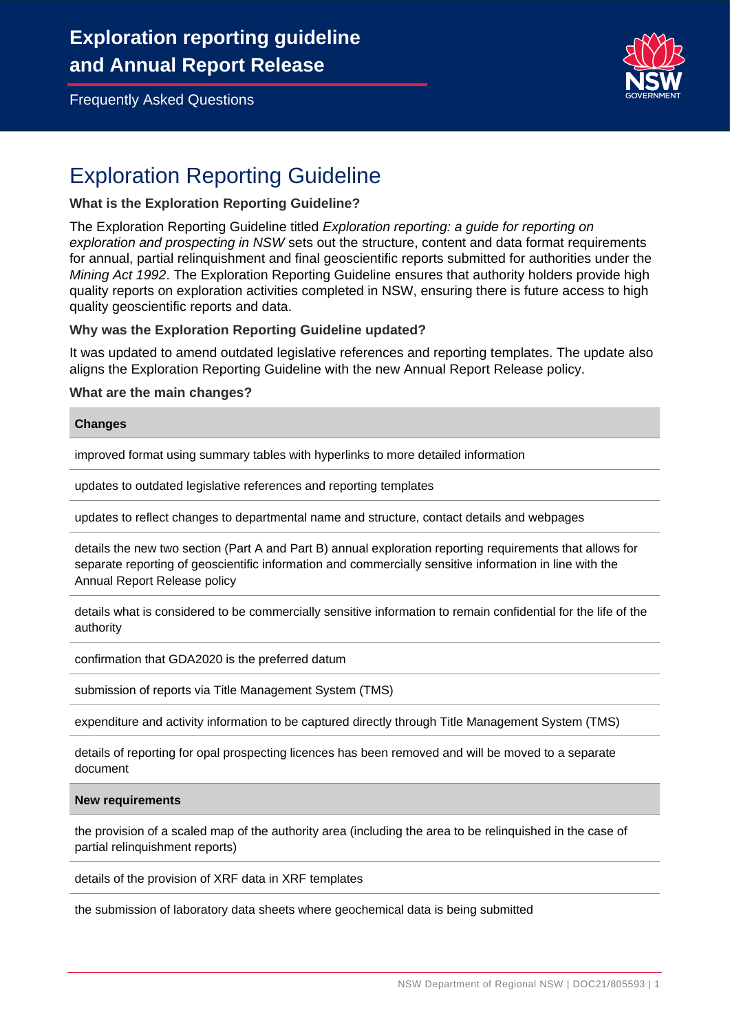

# Exploration Reporting Guideline

#### **What is the Exploration Reporting Guideline?**

The Exploration Reporting Guideline titled *Exploration reporting: a guide for reporting on exploration and prospecting in NSW* sets out the structure, content and data format requirements for annual, partial relinquishment and final geoscientific reports submitted for authorities under the *Mining Act 1992*. The Exploration Reporting Guideline ensures that authority holders provide high quality reports on exploration activities completed in NSW, ensuring there is future access to high quality geoscientific reports and data.

#### **Why was the Exploration Reporting Guideline updated?**

It was updated to amend outdated legislative references and reporting templates. The update also aligns the Exploration Reporting Guideline with the new Annual Report Release policy.

#### **What are the main changes?**

#### **Changes**

improved format using summary tables with hyperlinks to more detailed information

updates to outdated legislative references and reporting templates

updates to reflect changes to departmental name and structure, contact details and webpages

details the new two section (Part A and Part B) annual exploration reporting requirements that allows for separate reporting of geoscientific information and commercially sensitive information in line with the Annual Report Release policy

details what is considered to be commercially sensitive information to remain confidential for the life of the authority

confirmation that GDA2020 is the preferred datum

submission of reports via Title Management System (TMS)

expenditure and activity information to be captured directly through Title Management System (TMS)

details of reporting for opal prospecting licences has been removed and will be moved to a separate document

#### **New requirements**

the provision of a scaled map of the authority area (including the area to be relinquished in the case of partial relinquishment reports)

details of the provision of XRF data in XRF templates

the submission of laboratory data sheets where geochemical data is being submitted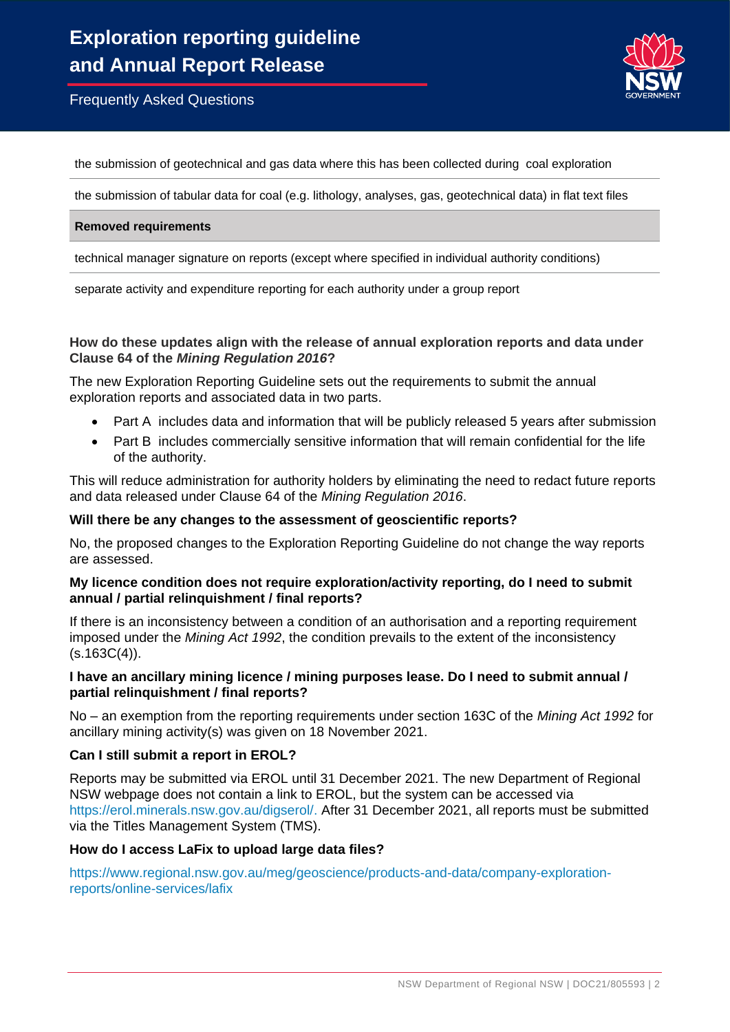

the submission of geotechnical and gas data where this has been collected during coal exploration

the submission of tabular data for coal (e.g. lithology, analyses, gas, geotechnical data) in flat text files

#### **Removed requirements**

technical manager signature on reports (except where specified in individual authority conditions)

separate activity and expenditure reporting for each authority under a group report

#### **How do these updates align with the release of annual exploration reports and data under Clause 64 of the** *Mining Regulation 2016***?**

The new Exploration Reporting Guideline sets out the requirements to submit the annual exploration reports and associated data in two parts.

- Part A includes data and information that will be publicly released 5 years after submission
- Part B includes commercially sensitive information that will remain confidential for the life of the authority.

This will reduce administration for authority holders by eliminating the need to redact future reports and data released under Clause 64 of the *Mining Regulation 2016*.

#### **Will there be any changes to the assessment of geoscientific reports?**

No, the proposed changes to the Exploration Reporting Guideline do not change the way reports are assessed.

#### **My licence condition does not require exploration/activity reporting, do I need to submit annual / partial relinquishment / final reports?**

If there is an inconsistency between a condition of an authorisation and a reporting requirement imposed under the *Mining Act 1992*, the condition prevails to the extent of the inconsistency  $(s.163C(4))$ .

#### **I have an ancillary mining licence / mining purposes lease. Do I need to submit annual / partial relinquishment / final reports?**

No – an exemption from the reporting requirements under section 163C of the *Mining Act 1992* for ancillary mining activity(s) was given on 18 November 2021.

#### **Can I still submit a report in EROL?**

Reports may be submitted via EROL until 31 December 2021. The new Department of Regional NSW webpage does not contain a link to EROL, but the system can be accessed via [https://erol.minerals.nsw.gov.au/digserol/.](https://erol.minerals.nsw.gov.au/digserol/) After 31 December 2021, all reports must be submitted via the Titles Management System (TMS).

#### **How do I access LaFix to upload large data files?**

[https://www.regional.nsw.gov.au/meg/geoscience/products-and-data/company-exploration](https://www.regional.nsw.gov.au/meg/geoscience/products-and-data/company-exploration-reports/online-services/lafix)[reports/online-services/lafix](https://www.regional.nsw.gov.au/meg/geoscience/products-and-data/company-exploration-reports/online-services/lafix)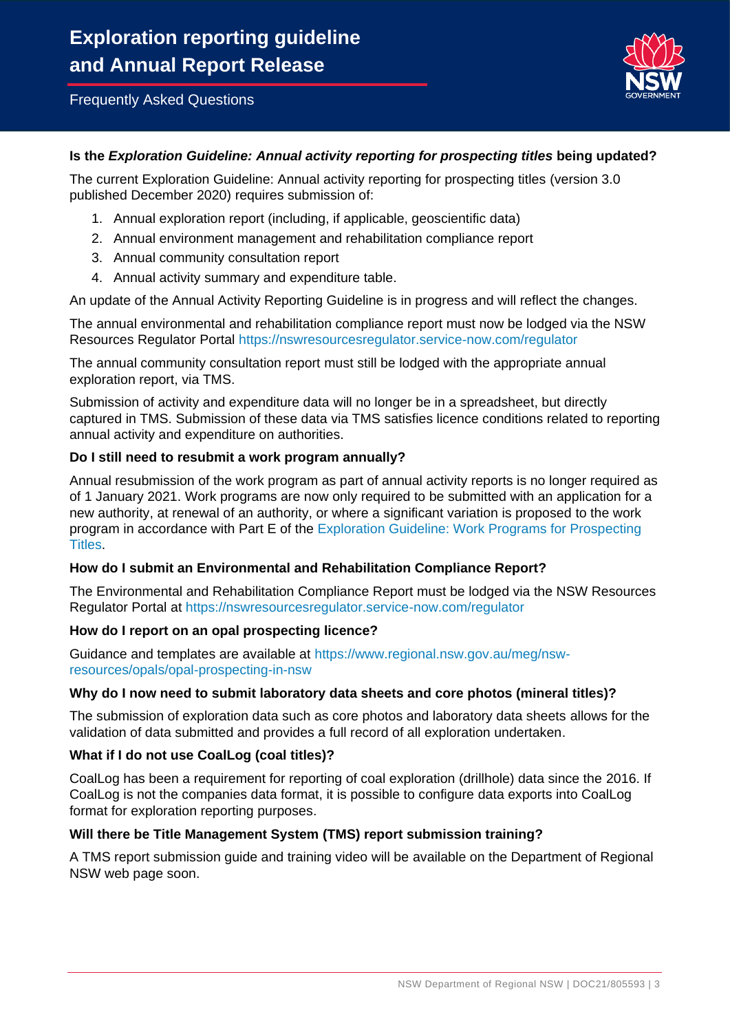

# **Is the** *Exploration Guideline: Annual activity reporting for prospecting titles* **being updated?**

The current Exploration Guideline: Annual activity reporting for prospecting titles (version 3.0 published December 2020) requires submission of:

- 1. Annual exploration report (including, if applicable, geoscientific data)
- 2. Annual environment management and rehabilitation compliance report
- 3. Annual community consultation report
- 4. Annual activity summary and expenditure table.

An update of the Annual Activity Reporting Guideline is in progress and will reflect the changes.

The annual environmental and rehabilitation compliance report must now be lodged via the NSW Resources Regulator Portal<https://nswresourcesregulator.service-now.com/regulator>

The annual community consultation report must still be lodged with the appropriate annual exploration report, via TMS.

Submission of activity and expenditure data will no longer be in a spreadsheet, but directly captured in TMS. Submission of these data via TMS satisfies licence conditions related to reporting annual activity and expenditure on authorities.

#### **Do I still need to resubmit a work program annually?**

Annual resubmission of the work program as part of annual activity reports is no longer required as of 1 January 2021. Work programs are now only required to be submitted with an application for a new authority, at renewal of an authority, or where a significant variation is proposed to the work program in accordance with Part E of the [Exploration Guideline: Work Programs for Prospecting](https://resourcesandgeoscience.nsw.gov.au/__data/assets/pdf_file/0005/565961/Exploration-guideline-work-programs-for-prospecting-titles.pdf)  [Titles.](https://resourcesandgeoscience.nsw.gov.au/__data/assets/pdf_file/0005/565961/Exploration-guideline-work-programs-for-prospecting-titles.pdf)

# **How do I submit an Environmental and Rehabilitation Compliance Report?**

The Environmental and Rehabilitation Compliance Report must be lodged via the NSW Resources Regulator Portal at <https://nswresourcesregulator.service-now.com/regulator>

#### **How do I report on an opal prospecting licence?**

Guidance and templates are available at [https://www.regional.nsw.gov.au/meg/nsw](https://www.regional.nsw.gov.au/meg/nsw-resources/opals/opal-prospecting-in-nsw)[resources/opals/opal-prospecting-in-nsw](https://www.regional.nsw.gov.au/meg/nsw-resources/opals/opal-prospecting-in-nsw)

#### **Why do I now need to submit laboratory data sheets and core photos (mineral titles)?**

The submission of exploration data such as core photos and laboratory data sheets allows for the validation of data submitted and provides a full record of all exploration undertaken.

# **What if I do not use CoalLog (coal titles)?**

CoalLog has been a requirement for reporting of coal exploration (drillhole) data since the 2016. If CoalLog is not the companies data format, it is possible to configure data exports into CoalLog format for exploration reporting purposes.

# **Will there be Title Management System (TMS) report submission training?**

A TMS report submission guide and training video will be available on the Department of Regional NSW web page soon.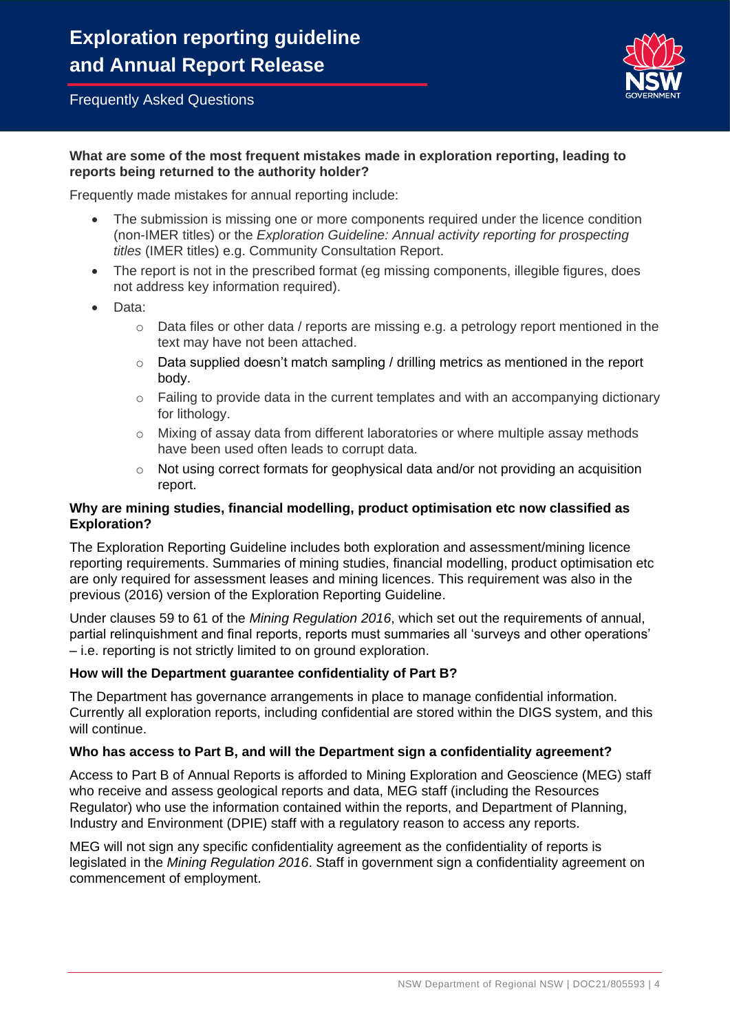

# **What are some of the most frequent mistakes made in exploration reporting, leading to reports being returned to the authority holder?**

Frequently made mistakes for annual reporting include:

- The submission is missing one or more components required under the licence condition (non-IMER titles) or the *Exploration Guideline: Annual activity reporting for prospecting titles* (IMER titles) e.g. Community Consultation Report.
- The report is not in the prescribed format (eg missing components, illegible figures, does not address key information required).
- Data:
	- o Data files or other data / reports are missing e.g. a petrology report mentioned in the text may have not been attached.
	- o Data supplied doesn't match sampling / drilling metrics as mentioned in the report body.
	- $\circ$  Failing to provide data in the current templates and with an accompanying dictionary for lithology.
	- $\circ$  Mixing of assay data from different laboratories or where multiple assay methods have been used often leads to corrupt data.
	- $\circ$  Not using correct formats for geophysical data and/or not providing an acquisition report.

# **Why are mining studies, financial modelling, product optimisation etc now classified as Exploration?**

The Exploration Reporting Guideline includes both exploration and assessment/mining licence reporting requirements. Summaries of mining studies, financial modelling, product optimisation etc are only required for assessment leases and mining licences. This requirement was also in the previous (2016) version of the Exploration Reporting Guideline.

Under clauses 59 to 61 of the *Mining Regulation 2016*, which set out the requirements of annual, partial relinquishment and final reports, reports must summaries all 'surveys and other operations' – i.e. reporting is not strictly limited to on ground exploration.

# **How will the Department guarantee confidentiality of Part B?**

The Department has governance arrangements in place to manage confidential information. Currently all exploration reports, including confidential are stored within the DIGS system, and this will continue.

# **Who has access to Part B, and will the Department sign a confidentiality agreement?**

Access to Part B of Annual Reports is afforded to Mining Exploration and Geoscience (MEG) staff who receive and assess geological reports and data, MEG staff (including the Resources Regulator) who use the information contained within the reports, and Department of Planning, Industry and Environment (DPIE) staff with a regulatory reason to access any reports.

MEG will not sign any specific confidentiality agreement as the confidentiality of reports is legislated in the *Mining Regulation 2016*. Staff in government sign a confidentiality agreement on commencement of employment.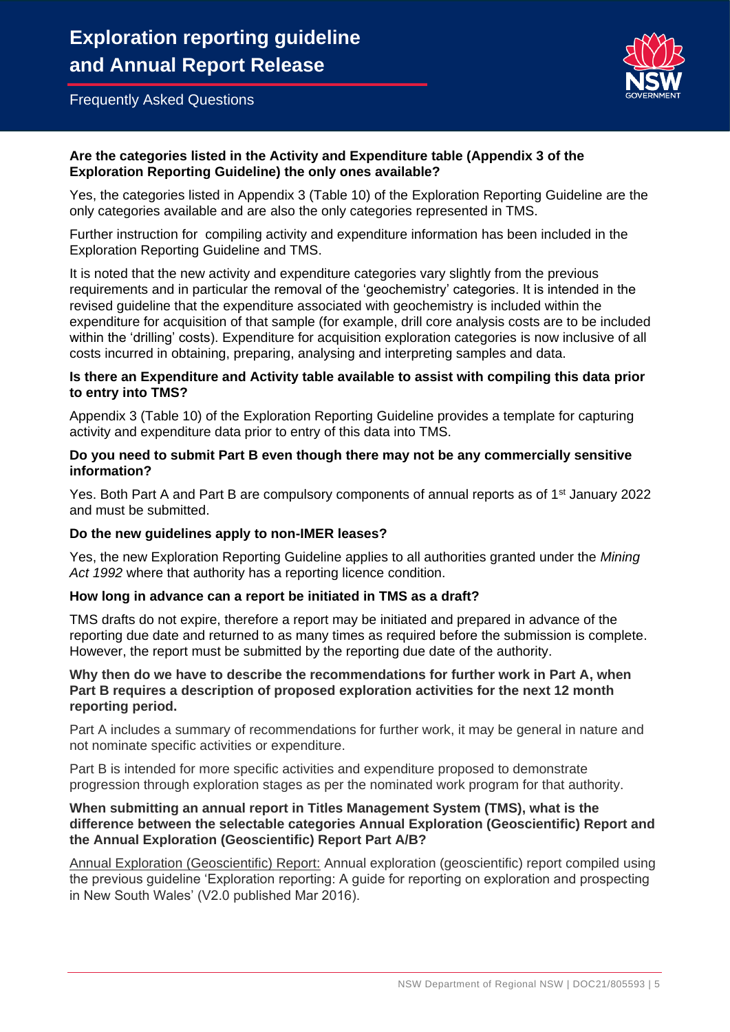

# **Are the categories listed in the Activity and Expenditure table (Appendix 3 of the Exploration Reporting Guideline) the only ones available?**

Yes, the categories listed in Appendix 3 (Table 10) of the Exploration Reporting Guideline are the only categories available and are also the only categories represented in TMS.

Further instruction for compiling activity and expenditure information has been included in the Exploration Reporting Guideline and TMS.

It is noted that the new activity and expenditure categories vary slightly from the previous requirements and in particular the removal of the 'geochemistry' categories. It is intended in the revised guideline that the expenditure associated with geochemistry is included within the expenditure for acquisition of that sample (for example, drill core analysis costs are to be included within the 'drilling' costs). Expenditure for acquisition exploration categories is now inclusive of all costs incurred in obtaining, preparing, analysing and interpreting samples and data.

## **Is there an Expenditure and Activity table available to assist with compiling this data prior to entry into TMS?**

Appendix 3 (Table 10) of the Exploration Reporting Guideline provides a template for capturing activity and expenditure data prior to entry of this data into TMS.

#### **Do you need to submit Part B even though there may not be any commercially sensitive information?**

Yes. Both Part A and Part B are compulsory components of annual reports as of 1<sup>st</sup> January 2022 and must be submitted.

# **Do the new guidelines apply to non-IMER leases?**

Yes, the new Exploration Reporting Guideline applies to all authorities granted under the *Mining Act 1992* where that authority has a reporting licence condition.

# **How long in advance can a report be initiated in TMS as a draft?**

TMS drafts do not expire, therefore a report may be initiated and prepared in advance of the reporting due date and returned to as many times as required before the submission is complete. However, the report must be submitted by the reporting due date of the authority.

### **Why then do we have to describe the recommendations for further work in Part A, when Part B requires a description of proposed exploration activities for the next 12 month reporting period.**

Part A includes a summary of recommendations for further work, it may be general in nature and not nominate specific activities or expenditure.

Part B is intended for more specific activities and expenditure proposed to demonstrate progression through exploration stages as per the nominated work program for that authority.

#### **When submitting an annual report in Titles Management System (TMS), what is the difference between the selectable categories Annual Exploration (Geoscientific) Report and the Annual Exploration (Geoscientific) Report Part A/B?**

Annual Exploration (Geoscientific) Report: Annual exploration (geoscientific) report compiled using the previous guideline 'Exploration reporting: A guide for reporting on exploration and prospecting in New South Wales' (V2.0 published Mar 2016).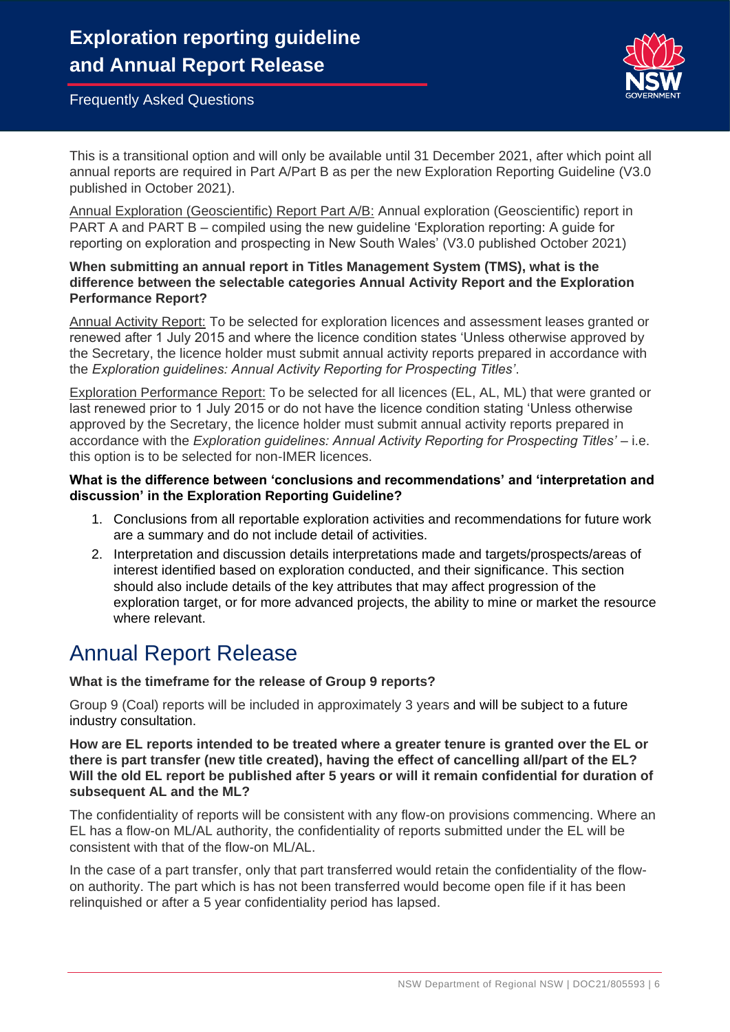

This is a transitional option and will only be available until 31 December 2021, after which point all annual reports are required in Part A/Part B as per the new Exploration Reporting Guideline (V3.0 published in October 2021).

Annual Exploration (Geoscientific) Report Part A/B: Annual exploration (Geoscientific) report in PART A and PART B – compiled using the new guideline 'Exploration reporting: A guide for reporting on exploration and prospecting in New South Wales' (V3.0 published October 2021)

# **When submitting an annual report in Titles Management System (TMS), what is the difference between the selectable categories Annual Activity Report and the Exploration Performance Report?**

Annual Activity Report: To be selected for exploration licences and assessment leases granted or renewed after 1 July 2015 and where the licence condition states 'Unless otherwise approved by the Secretary, the licence holder must submit annual activity reports prepared in accordance with the *Exploration guidelines: Annual Activity Reporting for Prospecting Titles'*.

Exploration Performance Report: To be selected for all licences (EL, AL, ML) that were granted or last renewed prior to 1 July 2015 or do not have the licence condition stating 'Unless otherwise approved by the Secretary, the licence holder must submit annual activity reports prepared in accordance with the *Exploration guidelines: Annual Activity Reporting for Prospecting Titles'* – i.e. this option is to be selected for non-IMER licences.

# **What is the difference between 'conclusions and recommendations' and 'interpretation and discussion' in the Exploration Reporting Guideline?**

- 1. Conclusions from all reportable exploration activities and recommendations for future work are a summary and do not include detail of activities.
- 2. Interpretation and discussion details interpretations made and targets/prospects/areas of interest identified based on exploration conducted, and their significance. This section should also include details of the key attributes that may affect progression of the exploration target, or for more advanced projects, the ability to mine or market the resource where relevant.

# Annual Report Release

# **What is the timeframe for the release of Group 9 reports?**

Group 9 (Coal) reports will be included in approximately 3 years and will be subject to a future industry consultation.

**How are EL reports intended to be treated where a greater tenure is granted over the EL or there is part transfer (new title created), having the effect of cancelling all/part of the EL? Will the old EL report be published after 5 years or will it remain confidential for duration of subsequent AL and the ML?**

The confidentiality of reports will be consistent with any flow-on provisions commencing. Where an EL has a flow-on ML/AL authority, the confidentiality of reports submitted under the EL will be consistent with that of the flow-on ML/AL.

In the case of a part transfer, only that part transferred would retain the confidentiality of the flowon authority. The part which is has not been transferred would become open file if it has been relinquished or after a 5 year confidentiality period has lapsed.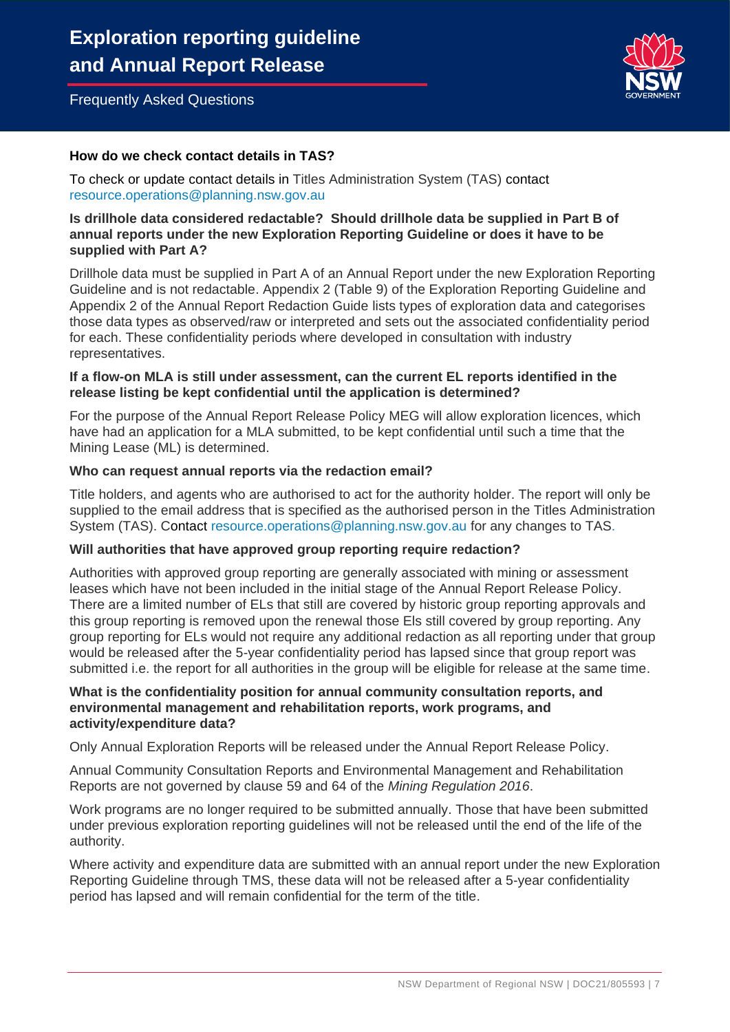

# **How do we check contact details in TAS?**

To check or update contact details in Titles Administration System (TAS) contact [resource.operations@planning.nsw.gov.au](mailto:resource.operations@planning.nsw.gov.au)

# **Is drillhole data considered redactable? Should drillhole data be supplied in Part B of annual reports under the new Exploration Reporting Guideline or does it have to be supplied with Part A?**

Drillhole data must be supplied in Part A of an Annual Report under the new Exploration Reporting Guideline and is not redactable. Appendix 2 (Table 9) of the Exploration Reporting Guideline and Appendix 2 of the Annual Report Redaction Guide lists types of exploration data and categorises those data types as observed/raw or interpreted and sets out the associated confidentiality period for each. These confidentiality periods where developed in consultation with industry representatives.

#### **If a flow-on MLA is still under assessment, can the current EL reports identified in the release listing be kept confidential until the application is determined?**

For the purpose of the Annual Report Release Policy MEG will allow exploration licences, which have had an application for a MLA submitted, to be kept confidential until such a time that the Mining Lease (ML) is determined.

#### **Who can request annual reports via the redaction email?**

Title holders, and agents who are authorised to act for the authority holder. The report will only be supplied to the email address that is specified as the authorised person in the Titles Administration System (TAS). Contact [resource.operations@planning.nsw.gov.au](mailto:resource.operations@planning.nsw.gov.au) for any changes to TAS.

# **Will authorities that have approved group reporting require redaction?**

Authorities with approved group reporting are generally associated with mining or assessment leases which have not been included in the initial stage of the Annual Report Release Policy. There are a limited number of ELs that still are covered by historic group reporting approvals and this group reporting is removed upon the renewal those Els still covered by group reporting. Any group reporting for ELs would not require any additional redaction as all reporting under that group would be released after the 5-year confidentiality period has lapsed since that group report was submitted i.e. the report for all authorities in the group will be eligible for release at the same time.

### **What is the confidentiality position for annual community consultation reports, and environmental management and rehabilitation reports, work programs, and activity/expenditure data?**

Only Annual Exploration Reports will be released under the Annual Report Release Policy.

Annual Community Consultation Reports and Environmental Management and Rehabilitation Reports are not governed by clause 59 and 64 of the *Mining Regulation 2016*.

Work programs are no longer required to be submitted annually. Those that have been submitted under previous exploration reporting guidelines will not be released until the end of the life of the authority.

Where activity and expenditure data are submitted with an annual report under the new Exploration Reporting Guideline through TMS, these data will not be released after a 5-year confidentiality period has lapsed and will remain confidential for the term of the title.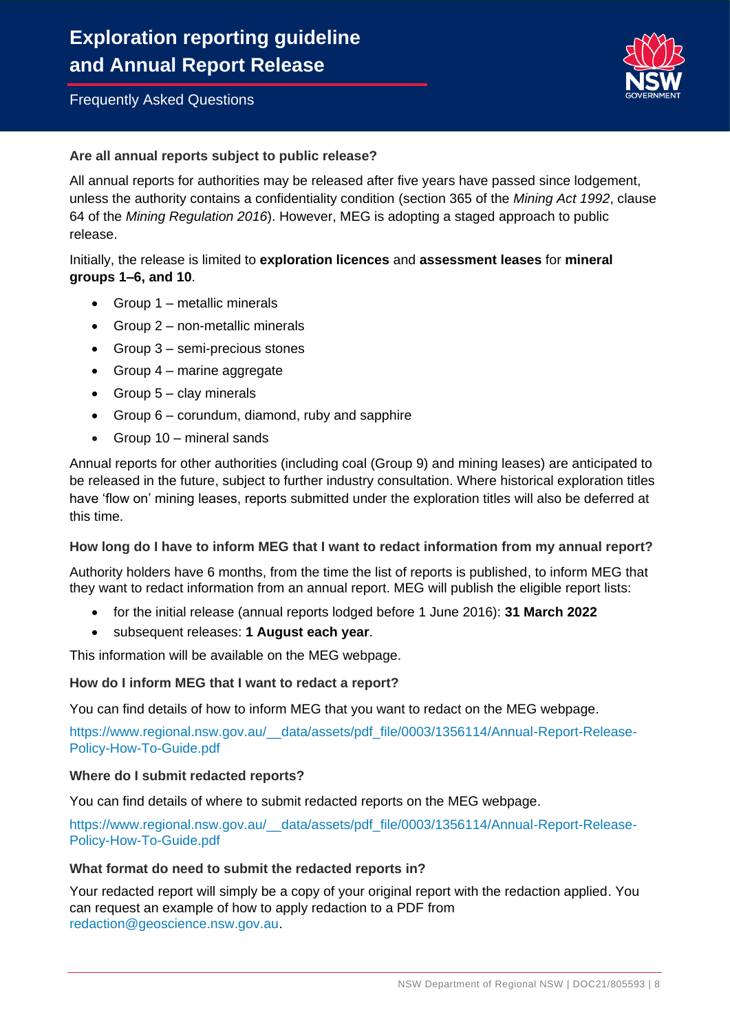

# **Are all annual reports subject to public release?**

All annual reports for authorities may be released after five years have passed since lodgement, unless the authority contains a confidentiality condition (section 365 of the *Mining Act 1992*, clause 64 of the *Mining Regulation 2016*). However, MEG is adopting a staged approach to public release.

# Initially, the release is limited to **exploration licences** and **assessment leases** for **mineral groups 1–6, and 10**.

- Group 1 metallic minerals
- Group 2 non-metallic minerals
- Group 3 semi-precious stones
- Group 4 marine aggregate
- Group  $5 -$  clay minerals
- Group 6 corundum, diamond, ruby and sapphire
- Group 10 mineral sands

Annual reports for other authorities (including coal (Group 9) and mining leases) are anticipated to be released in the future, subject to further industry consultation. Where historical exploration titles have 'flow on' mining leases, reports submitted under the exploration titles will also be deferred at this time.

# **How long do I have to inform MEG that I want to redact information from my annual report?**

Authority holders have 6 months, from the time the list of reports is published, to inform MEG that they want to redact information from an annual report. MEG will publish the eligible report lists:

- for the initial release (annual reports lodged before 1 June 2016): **31 March 2022**
- subsequent releases: **1 August each year**.

This information will be available on the MEG webpage.

# **How do I inform MEG that I want to redact a report?**

You can find details of how to inform MEG that you want to redact on the MEG webpage.

https://www.regional.nsw.gov.au/ data/assets/pdf\_file/0003/1356114/Annual-Report-Release-[Policy-How-To-Guide.pdf](https://www.regional.nsw.gov.au/__data/assets/pdf_file/0003/1356114/Annual-Report-Release-Policy-How-To-Guide.pdf)

#### **Where do I submit redacted reports?**

You can find details of where to submit redacted reports on the MEG webpage.

[https://www.regional.nsw.gov.au/\\_\\_data/assets/pdf\\_file/0003/1356114/Annual-Report-Release-](https://www.regional.nsw.gov.au/__data/assets/pdf_file/0003/1356114/Annual-Report-Release-Policy-How-To-Guide.pdf)[Policy-How-To-Guide.pdf](https://www.regional.nsw.gov.au/__data/assets/pdf_file/0003/1356114/Annual-Report-Release-Policy-How-To-Guide.pdf)

# **What format do need to submit the redacted reports in?**

Your redacted report will simply be a copy of your original report with the redaction applied. You can request an example of how to apply redaction to a PDF from [redaction@geoscience.nsw.gov.au.](file:///C:/Users/alagics/AppData/Local/Microsoft/Windows/INetCache/Content.Outlook/8X0XWY56/redaction@geoscience.nsw.gov.au)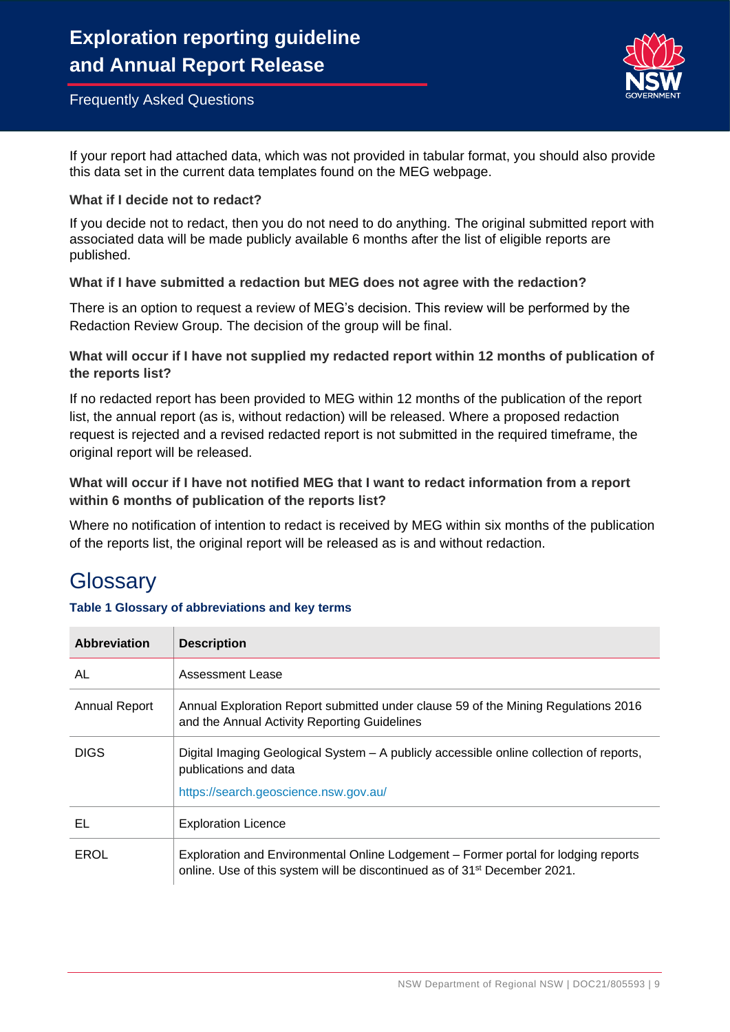

If your report had attached data, which was not provided in tabular format, you should also provide this data set in the current data templates found on the MEG webpage.

# **What if I decide not to redact?**

If you decide not to redact, then you do not need to do anything. The original submitted report with associated data will be made publicly available 6 months after the list of eligible reports are published.

# **What if I have submitted a redaction but MEG does not agree with the redaction?**

There is an option to request a review of MEG's decision. This review will be performed by the Redaction Review Group. The decision of the group will be final.

# **What will occur if I have not supplied my redacted report within 12 months of publication of the reports list?**

If no redacted report has been provided to MEG within 12 months of the publication of the report list, the annual report (as is, without redaction) will be released. Where a proposed redaction request is rejected and a revised redacted report is not submitted in the required timeframe, the original report will be released.

# **What will occur if I have not notified MEG that I want to redact information from a report within 6 months of publication of the reports list?**

Where no notification of intention to redact is received by MEG within six months of the publication of the reports list, the original report will be released as is and without redaction.

# **Glossarv**

# **Table 1 Glossary of abbreviations and key terms**

| Abbreviation  | <b>Description</b>                                                                                                                                                          |
|---------------|-----------------------------------------------------------------------------------------------------------------------------------------------------------------------------|
| AL            | Assessment Lease                                                                                                                                                            |
| Annual Report | Annual Exploration Report submitted under clause 59 of the Mining Regulations 2016<br>and the Annual Activity Reporting Guidelines                                          |
| <b>DIGS</b>   | Digital Imaging Geological System – A publicly accessible online collection of reports,<br>publications and data<br>https://search.geoscience.nsw.gov.au/                   |
| EL            | <b>Exploration Licence</b>                                                                                                                                                  |
| <b>EROL</b>   | Exploration and Environmental Online Lodgement – Former portal for lodging reports<br>online. Use of this system will be discontinued as of 31 <sup>st</sup> December 2021. |